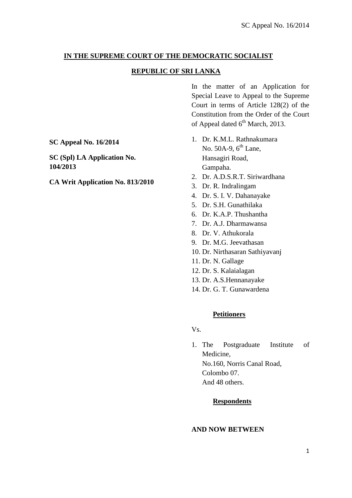## **IN THE SUPREME COURT OF THE DEMOCRATIC SOCIALIST**

## **REPUBLIC OF SRI LANKA**

In the matter of an Application for Special Leave to Appeal to the Supreme Court in terms of Article 128(2) of the Constitution from the Order of the Court of Appeal dated  $6^{th}$  March, 2013.

1. Dr. K.M.L. Rathnakumara No.  $50A-9$ ,  $6<sup>th</sup>$  Lane, Hansagiri Road, Gampaha.

- 2. Dr. A.D.S.R.T. Siriwardhana
- 3. Dr. R. Indralingam
- 4. Dr. S. I. V. Dahanayake
- 5. Dr. S.H. Gunathilaka
- 6. Dr. K.A.P. Thushantha
- 7. Dr. A.J. Dharmawansa
- 8. Dr. V. Athukorala
- 9. Dr. M.G. Jeevathasan
- 10. Dr. Nirthasaran Sathiyavanj
- 11. Dr. N. Gallage
- 12. Dr. S. Kalaialagan
- 13. Dr. A.S.Hennanayake
- 14. Dr. G. T. Gunawardena

### **Petitioners**

Vs.

1. The Postgraduate Institute of Medicine, No.160, Norris Canal Road, Colombo 07. And 48 others.

### **Respondents**

### **AND NOW BETWEEN**

**SC Appeal No. 16/2014**

**SC (Spl) LA Application No. 104/2013**

### **CA Writ Application No. 813/2010**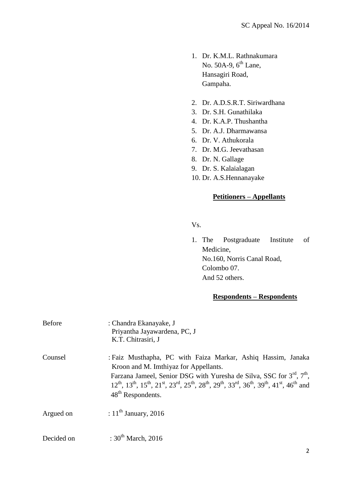- 1. Dr. K.M.L. Rathnakumara No.  $50A-9$ ,  $6<sup>th</sup>$  Lane, Hansagiri Road, Gampaha.
- 2. Dr. A.D.S.R.T. Siriwardhana
- 3. Dr. S.H. Gunathilaka
- 4. Dr. K.A.P. Thushantha
- 5. Dr. A.J. Dharmawansa
- 6. Dr. V. Athukorala
- 7. Dr. M.G. Jeevathasan
- 8. Dr. N. Gallage
- 9. Dr. S. Kalaialagan
- 10. Dr. A.S.Hennanayake

### **Petitioners – Appellants**

Vs.

1. The Postgraduate Institute of Medicine, No.160, Norris Canal Road, Colombo 07. And 52 others.

## **Respondents – Respondents**

| <b>Before</b> | : Chandra Ekanayake, J<br>Priyantha Jayawardena, PC, J<br>K.T. Chitrasiri, J                                                                                                                                                                                                                                                                                                                             |
|---------------|----------------------------------------------------------------------------------------------------------------------------------------------------------------------------------------------------------------------------------------------------------------------------------------------------------------------------------------------------------------------------------------------------------|
| Counsel       | : Faiz Musthapha, PC with Faiza Markar, Ashiq Hassim, Janaka<br>Kroon and M. Imthiyaz for Appellants.<br>Farzana Jameel, Senior DSG with Yuresha de Silva, SSC for 3 <sup>rd</sup> , 7 <sup>th</sup> ,<br>$12^{th}$ , $13^{th}$ , $15^{th}$ , $21^{st}$ , $23^{rd}$ , $25^{th}$ , $28^{th}$ , $29^{th}$ , $33^{rd}$ , $36^{th}$ , $39^{th}$ , $41^{st}$ , $46^{th}$ and<br>48 <sup>th</sup> Respondents. |
| Argued on     | : $11^{\text{th}}$ January, 2016                                                                                                                                                                                                                                                                                                                                                                         |
| Decided on    | : $30^{th}$ March, 2016                                                                                                                                                                                                                                                                                                                                                                                  |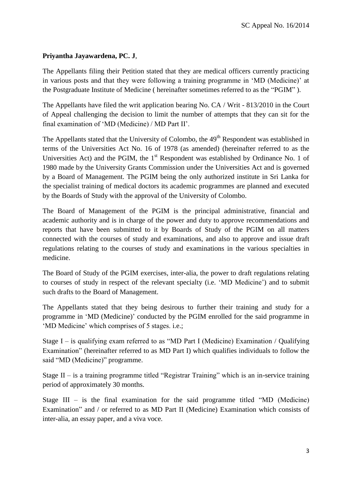# **Priyantha Jayawardena, PC. J**,

The Appellants filing their Petition stated that they are medical officers currently practicing in various posts and that they were following a training programme in "MD (Medicine)" at the Postgraduate Institute of Medicine ( hereinafter sometimes referred to as the "PGIM" ).

The Appellants have filed the writ application bearing No. CA / Writ - 813/2010 in the Court of Appeal challenging the decision to limit the number of attempts that they can sit for the final examination of "MD (Medicine) / MD Part II".

The Appellants stated that the University of Colombo, the 49<sup>th</sup> Respondent was established in terms of the Universities Act No. 16 of 1978 (as amended) (hereinafter referred to as the Universities Act) and the PGIM, the  $1<sup>st</sup>$  Respondent was established by Ordinance No. 1 of 1980 made by the University Grants Commission under the Universities Act and is governed by a Board of Management. The PGIM being the only authorized institute in Sri Lanka for the specialist training of medical doctors its academic programmes are planned and executed by the Boards of Study with the approval of the University of Colombo.

The Board of Management of the PGIM is the principal administrative, financial and academic authority and is in charge of the power and duty to approve recommendations and reports that have been submitted to it by Boards of Study of the PGIM on all matters connected with the courses of study and examinations, and also to approve and issue draft regulations relating to the courses of study and examinations in the various specialties in medicine.

The Board of Study of the PGIM exercises, inter-alia, the power to draft regulations relating to courses of study in respect of the relevant specialty (i.e. "MD Medicine") and to submit such drafts to the Board of Management.

The Appellants stated that they being desirous to further their training and study for a programme in "MD (Medicine)" conducted by the PGIM enrolled for the said programme in 'MD Medicine' which comprises of 5 stages. i.e.;

Stage I – is qualifying exam referred to as "MD Part I (Medicine) Examination / Qualifying Examination" (hereinafter referred to as MD Part I) which qualifies individuals to follow the said "MD (Medicine)" programme.

Stage II – is a training programme titled "Registrar Training" which is an in-service training period of approximately 30 months.

Stage  $III -$  is the final examination for the said programme titled "MD (Medicine) Examination" and / or referred to as MD Part II (Medicine) Examination which consists of inter-alia, an essay paper, and a viva voce.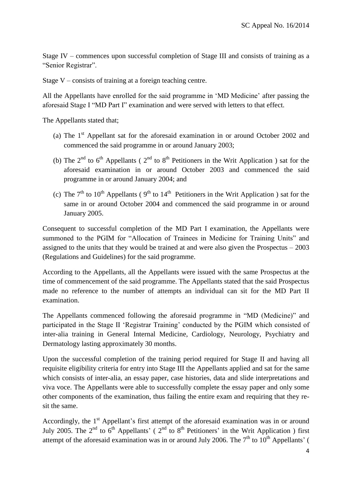Stage IV – commences upon successful completion of Stage III and consists of training as a "Senior Registrar".

Stage V – consists of training at a foreign teaching centre.

All the Appellants have enrolled for the said programme in 'MD Medicine' after passing the aforesaid Stage I "MD Part I" examination and were served with letters to that effect.

The Appellants stated that;

- (a) The  $1<sup>st</sup>$  Appellant sat for the aforesaid examination in or around October 2002 and commenced the said programme in or around January 2003;
- (b) The  $2<sup>nd</sup>$  to  $6<sup>th</sup>$  Appellants ( $2<sup>nd</sup>$  to  $8<sup>th</sup>$  Petitioners in the Writ Application) sat for the aforesaid examination in or around October 2003 and commenced the said programme in or around January 2004; and
- (c) The  $7<sup>th</sup>$  to  $10<sup>th</sup>$  Appellants ( $9<sup>th</sup>$  to  $14<sup>th</sup>$  Petitioners in the Writ Application) sat for the same in or around October 2004 and commenced the said programme in or around January 2005.

Consequent to successful completion of the MD Part I examination, the Appellants were summoned to the PGIM for "Allocation of Trainees in Medicine for Training Units" and assigned to the units that they would be trained at and were also given the Prospectus – 2003 (Regulations and Guidelines) for the said programme.

According to the Appellants, all the Appellants were issued with the same Prospectus at the time of commencement of the said programme. The Appellants stated that the said Prospectus made no reference to the number of attempts an individual can sit for the MD Part II examination.

The Appellants commenced following the aforesaid programme in "MD (Medicine)" and participated in the Stage II "Registrar Training" conducted by the PGIM which consisted of inter-alia training in General Internal Medicine, Cardiology, Neurology, Psychiatry and Dermatology lasting approximately 30 months.

Upon the successful completion of the training period required for Stage II and having all requisite eligibility criteria for entry into Stage III the Appellants applied and sat for the same which consists of inter-alia, an essay paper, case histories, data and slide interpretations and viva voce. The Appellants were able to successfully complete the essay paper and only some other components of the examination, thus failing the entire exam and requiring that they resit the same.

Accordingly, the 1<sup>st</sup> Appellant's first attempt of the aforesaid examination was in or around July 2005. The 2<sup>nd</sup> to 6<sup>th</sup> Appellants' (2<sup>nd</sup> to 8<sup>th</sup> Petitioners' in the Writ Application) first attempt of the aforesaid examination was in or around July 2006. The  $7<sup>th</sup>$  to  $10<sup>th</sup>$  Appellants' (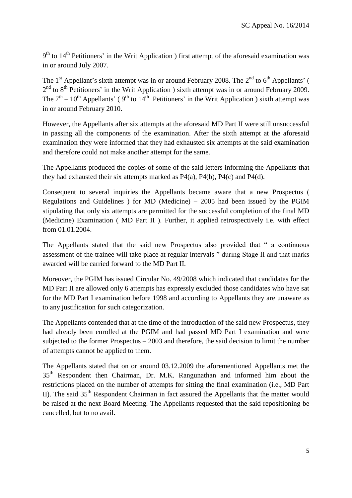9<sup>th</sup> to 14<sup>th</sup> Petitioners' in the Writ Application ) first attempt of the aforesaid examination was in or around July 2007.

The 1<sup>st</sup> Appellant's sixth attempt was in or around February 2008. The  $2<sup>nd</sup>$  to  $6<sup>th</sup>$  Appellants' (  $2<sup>nd</sup>$  to 8<sup>th</sup> Petitioners' in the Writ Application ) sixth attempt was in or around February 2009. The  $7<sup>th</sup> - 10<sup>th</sup>$  Appellants' (9<sup>th</sup> to 14<sup>th</sup> Petitioners' in the Writ Application) sixth attempt was in or around February 2010.

However, the Appellants after six attempts at the aforesaid MD Part II were still unsuccessful in passing all the components of the examination. After the sixth attempt at the aforesaid examination they were informed that they had exhausted six attempts at the said examination and therefore could not make another attempt for the same.

The Appellants produced the copies of some of the said letters informing the Appellants that they had exhausted their six attempts marked as P4(a), P4(b), P4(c) and P4(d).

Consequent to several inquiries the Appellants became aware that a new Prospectus ( Regulations and Guidelines ) for MD (Medicine) – 2005 had been issued by the PGIM stipulating that only six attempts are permitted for the successful completion of the final MD (Medicine) Examination ( MD Part II ). Further, it applied retrospectively i.e. with effect from 01.01.2004.

The Appellants stated that the said new Prospectus also provided that " a continuous assessment of the trainee will take place at regular intervals " during Stage II and that marks awarded will be carried forward to the MD Part II.

Moreover, the PGIM has issued Circular No. 49/2008 which indicated that candidates for the MD Part II are allowed only 6 attempts has expressly excluded those candidates who have sat for the MD Part I examination before 1998 and according to Appellants they are unaware as to any justification for such categorization.

The Appellants contended that at the time of the introduction of the said new Prospectus, they had already been enrolled at the PGIM and had passed MD Part I examination and were subjected to the former Prospectus – 2003 and therefore, the said decision to limit the number of attempts cannot be applied to them.

The Appellants stated that on or around 03.12.2009 the aforementioned Appellants met the 35<sup>th</sup> Respondent then Chairman, Dr. M.K. Rangunathan and informed him about the restrictions placed on the number of attempts for sitting the final examination (i.e., MD Part II). The said  $35<sup>th</sup>$  Respondent Chairman in fact assured the Appellants that the matter would be raised at the next Board Meeting. The Appellants requested that the said repositioning be cancelled, but to no avail.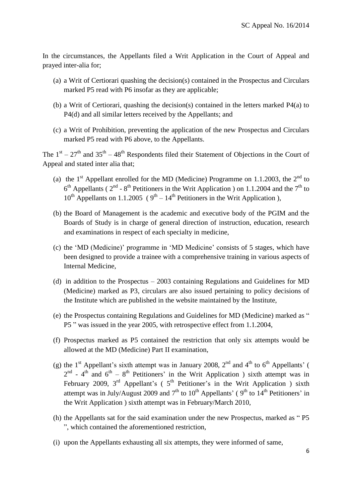In the circumstances, the Appellants filed a Writ Application in the Court of Appeal and prayed inter-alia for;

- (a) a Writ of Certiorari quashing the decision(s) contained in the Prospectus and Circulars marked P5 read with P6 insofar as they are applicable;
- (b) a Writ of Certiorari, quashing the decision(s) contained in the letters marked P4(a) to P4(d) and all similar letters received by the Appellants; and
- (c) a Writ of Prohibition, preventing the application of the new Prospectus and Circulars marked P5 read with P6 above, to the Appellants.

The  $1<sup>st</sup> - 27<sup>th</sup>$  and  $35<sup>th</sup> - 48<sup>th</sup>$  Respondents filed their Statement of Objections in the Court of Appeal and stated inter alia that;

- (a) the  $1<sup>st</sup>$  Appellant enrolled for the MD (Medicine) Programme on 1.1.2003, the  $2<sup>nd</sup>$  to  $6<sup>th</sup>$  Appellants ( $2<sup>nd</sup>$  -  $8<sup>th</sup>$  Petitioners in the Writ Application ) on 1.1.2004 and the  $7<sup>th</sup>$  to  $10^{th}$  Appellants on 1.1.2005 ( $9^{th} - 14^{th}$  Petitioners in the Writ Application),
- (b) the Board of Management is the academic and executive body of the PGIM and the Boards of Study is in charge of general direction of instruction, education, research and examinations in respect of each specialty in medicine,
- (c) the "MD (Medicine)" programme in "MD Medicine" consists of 5 stages, which have been designed to provide a trainee with a comprehensive training in various aspects of Internal Medicine,
- (d) in addition to the Prospectus 2003 containing Regulations and Guidelines for MD (Medicine) marked as P3, circulars are also issued pertaining to policy decisions of the Institute which are published in the website maintained by the Institute,
- (e) the Prospectus containing Regulations and Guidelines for MD (Medicine) marked as " P5 " was issued in the year 2005, with retrospective effect from 1.1.2004,
- (f) Prospectus marked as P5 contained the restriction that only six attempts would be allowed at the MD (Medicine) Part II examination,
- (g) the 1<sup>st</sup> Appellant's sixth attempt was in January 2008,  $2<sup>nd</sup>$  and  $4<sup>th</sup>$  to  $6<sup>th</sup>$  Appellants' (  $2<sup>nd</sup>$  - 4<sup>th</sup> and 6<sup>th</sup> – 8<sup>th</sup> Petitioners' in the Writ Application ) sixth attempt was in February 2009,  $3<sup>rd</sup>$  Appellant's ( $5<sup>th</sup>$  Petitioner's in the Writ Application) sixth attempt was in July/August 2009 and  $7<sup>th</sup>$  to  $10<sup>th</sup>$  Appellants' ( $9<sup>th</sup>$  to  $14<sup>th</sup>$  Petitioners' in the Writ Application ) sixth attempt was in February/March 2010,
- (h) the Appellants sat for the said examination under the new Prospectus, marked as " P5 ", which contained the aforementioned restriction,
- (i) upon the Appellants exhausting all six attempts, they were informed of same,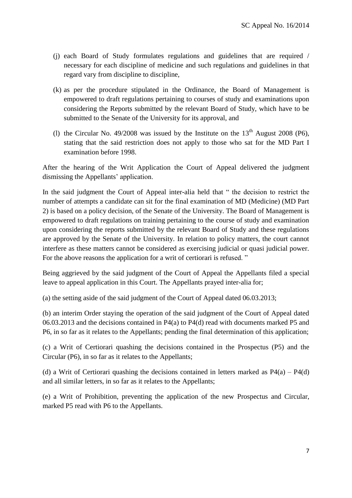- (j) each Board of Study formulates regulations and guidelines that are required / necessary for each discipline of medicine and such regulations and guidelines in that regard vary from discipline to discipline,
- (k) as per the procedure stipulated in the Ordinance, the Board of Management is empowered to draft regulations pertaining to courses of study and examinations upon considering the Reports submitted by the relevant Board of Study, which have to be submitted to the Senate of the University for its approval, and
- (1) the Circular No. 49/2008 was issued by the Institute on the  $13<sup>th</sup>$  August 2008 (P6). stating that the said restriction does not apply to those who sat for the MD Part I examination before 1998.

After the hearing of the Writ Application the Court of Appeal delivered the judgment dismissing the Appellants" application.

In the said judgment the Court of Appeal inter-alia held that " the decision to restrict the number of attempts a candidate can sit for the final examination of MD (Medicine) (MD Part 2) is based on a policy decision, of the Senate of the University. The Board of Management is empowered to draft regulations on training pertaining to the course of study and examination upon considering the reports submitted by the relevant Board of Study and these regulations are approved by the Senate of the University. In relation to policy matters, the court cannot interfere as these matters cannot be considered as exercising judicial or quasi judicial power. For the above reasons the application for a writ of certiorari is refused. "

Being aggrieved by the said judgment of the Court of Appeal the Appellants filed a special leave to appeal application in this Court. The Appellants prayed inter-alia for;

(a) the setting aside of the said judgment of the Court of Appeal dated 06.03.2013;

(b) an interim Order staying the operation of the said judgment of the Court of Appeal dated 06.03.2013 and the decisions contained in P4(a) to P4(d) read with documents marked P5 and P6, in so far as it relates to the Appellants; pending the final determination of this application;

(c) a Writ of Certiorari quashing the decisions contained in the Prospectus (P5) and the Circular (P6), in so far as it relates to the Appellants;

(d) a Writ of Certiorari quashing the decisions contained in letters marked as  $P_4(a) - P_4(d)$ and all similar letters, in so far as it relates to the Appellants;

(e) a Writ of Prohibition, preventing the application of the new Prospectus and Circular, marked P5 read with P6 to the Appellants.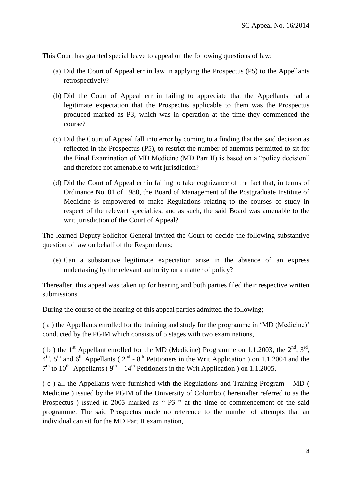This Court has granted special leave to appeal on the following questions of law;

- (a) Did the Court of Appeal err in law in applying the Prospectus (P5) to the Appellants retrospectively?
- (b) Did the Court of Appeal err in failing to appreciate that the Appellants had a legitimate expectation that the Prospectus applicable to them was the Prospectus produced marked as P3, which was in operation at the time they commenced the course?
- (c) Did the Court of Appeal fall into error by coming to a finding that the said decision as reflected in the Prospectus (P5), to restrict the number of attempts permitted to sit for the Final Examination of MD Medicine (MD Part II) is based on a "policy decision" and therefore not amenable to writ jurisdiction?
- (d) Did the Court of Appeal err in failing to take cognizance of the fact that, in terms of Ordinance No. 01 of 1980, the Board of Management of the Postgraduate Institute of Medicine is empowered to make Regulations relating to the courses of study in respect of the relevant specialties, and as such, the said Board was amenable to the writ jurisdiction of the Court of Appeal?

The learned Deputy Solicitor General invited the Court to decide the following substantive question of law on behalf of the Respondents;

(e) Can a substantive legitimate expectation arise in the absence of an express undertaking by the relevant authority on a matter of policy?

Thereafter, this appeal was taken up for hearing and both parties filed their respective written submissions.

During the course of the hearing of this appeal parties admitted the following;

( a ) the Appellants enrolled for the training and study for the programme in "MD (Medicine)" conducted by the PGIM which consists of 5 stages with two examinations,

(b) the 1<sup>st</sup> Appellant enrolled for the MD (Medicine) Programme on 1.1.2003, the  $2<sup>nd</sup>$ ,  $3<sup>rd</sup>$ ,  $4<sup>th</sup>$ ,  $5<sup>th</sup>$  and  $6<sup>th</sup>$  Appellants ( $2<sup>nd</sup>$  -  $8<sup>th</sup>$  Petitioners in the Writ Application ) on 1.1.2004 and the  $7<sup>th</sup>$  to  $10<sup>th</sup>$  Appellants ( $9<sup>th</sup> - 14<sup>th</sup>$  Petitioners in the Writ Application) on 1.1.2005,

( c ) all the Appellants were furnished with the Regulations and Training Program – MD ( Medicine ) issued by the PGIM of the University of Colombo ( hereinafter referred to as the Prospectus ) issued in 2003 marked as " P3 " at the time of commencement of the said programme. The said Prospectus made no reference to the number of attempts that an individual can sit for the MD Part II examination,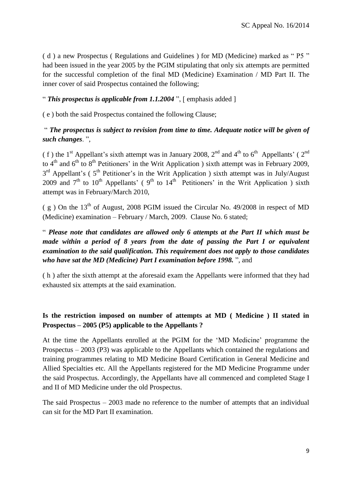( d ) a new Prospectus ( Regulations and Guidelines ) for MD (Medicine) marked as " P5 " had been issued in the year 2005 by the PGIM stipulating that only six attempts are permitted for the successful completion of the final MD (Medicine) Examination / MD Part II. The inner cover of said Prospectus contained the following;

# " *This prospectus is applicable from 1.1.2004* ", [ emphasis added ]

( e ) both the said Prospectus contained the following Clause;

# " *The prospectus is subject to revision from time to time. Adequate notice will be given of such changes*. ",

(f) the 1<sup>st</sup> Appellant's sixth attempt was in January 2008, 2<sup>nd</sup> and 4<sup>th</sup> to 6<sup>th</sup> Appellants' (2<sup>nd</sup>) to  $4<sup>th</sup>$  and  $6<sup>th</sup>$  to  $8<sup>th</sup>$  Petitioners' in the Writ Application ) sixth attempt was in February 2009,  $3<sup>rd</sup>$  Appellant's (5<sup>th</sup> Petitioner's in the Writ Application) sixth attempt was in July/August 2009 and  $7<sup>th</sup>$  to  $10<sup>th</sup>$  Appellants' (9<sup>th</sup> to  $14<sup>th</sup>$  Petitioners' in the Writ Application ) sixth attempt was in February/March 2010,

( $g$ ) On the 13<sup>th</sup> of August, 2008 PGIM issued the Circular No. 49/2008 in respect of MD (Medicine) examination – February / March, 2009. Clause No. 6 stated;

# " *Please note that candidates are allowed only 6 attempts at the Part II which must be made within a period of 8 years from the date of passing the Part I or equivalent examination to the said qualification. This requirement does not apply to those candidates who have sat the MD (Medicine) Part I examination before 1998.* ", and

( h ) after the sixth attempt at the aforesaid exam the Appellants were informed that they had exhausted six attempts at the said examination.

# **Is the restriction imposed on number of attempts at MD ( Medicine ) II stated in Prospectus – 2005 (P5) applicable to the Appellants ?**

At the time the Appellants enrolled at the PGIM for the "MD Medicine" programme the Prospectus – 2003 (P3) was applicable to the Appellants which contained the regulations and training programmes relating to MD Medicine Board Certification in General Medicine and Allied Specialties etc. All the Appellants registered for the MD Medicine Programme under the said Prospectus. Accordingly, the Appellants have all commenced and completed Stage I and II of MD Medicine under the old Prospectus.

The said Prospectus – 2003 made no reference to the number of attempts that an individual can sit for the MD Part II examination.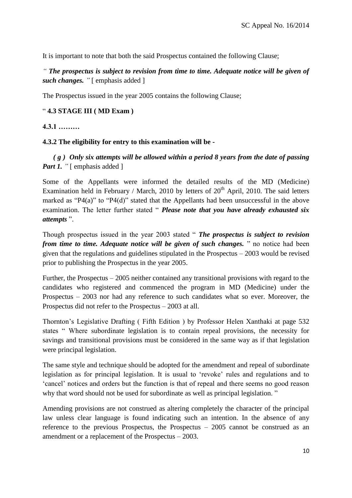It is important to note that both the said Prospectus contained the following Clause;

*" The prospectus is subject to revision from time to time. Adequate notice will be given of such changes. "* [ emphasis added ]

The Prospectus issued in the year 2005 contains the following Clause;

### " **4.3 STAGE III ( MD Exam )**

### **4.3.1 ………**

### **4.3.2 The eligibility for entry to this examination will be -**

 *( g )**Only six attempts will be allowed within a period 8 years from the date of passing Part 1.* " [ emphasis added ]

Some of the Appellants were informed the detailed results of the MD (Medicine) Examination held in February / March, 2010 by letters of  $20<sup>th</sup>$  April, 2010. The said letters marked as "P4(a)" to "P4(d)" stated that the Appellants had been unsuccessful in the above examination. The letter further stated " *Please note that you have already exhausted six attempts* ".

Though prospectus issued in the year 2003 stated " *The prospectus is subject to revision from time to time. Adequate notice will be given of such changes.* " no notice had been given that the regulations and guidelines stipulated in the Prospectus – 2003 would be revised prior to publishing the Prospectus in the year 2005.

Further, the Prospectus – 2005 neither contained any transitional provisions with regard to the candidates who registered and commenced the program in MD (Medicine) under the Prospectus – 2003 nor had any reference to such candidates what so ever. Moreover, the Prospectus did not refer to the Prospectus – 2003 at all.

Thornton"s Legislative Drafting ( Fifth Edition ) by Professor Helen Xanthaki at page 532 states " Where subordinate legislation is to contain repeal provisions, the necessity for savings and transitional provisions must be considered in the same way as if that legislation were principal legislation.

The same style and technique should be adopted for the amendment and repeal of subordinate legislation as for principal legislation. It is usual to "revoke" rules and regulations and to "cancel" notices and orders but the function is that of repeal and there seems no good reason why that word should not be used for subordinate as well as principal legislation. "

Amending provisions are not construed as altering completely the character of the principal law unless clear language is found indicating such an intention. In the absence of any reference to the previous Prospectus, the Prospectus – 2005 cannot be construed as an amendment or a replacement of the Prospectus – 2003.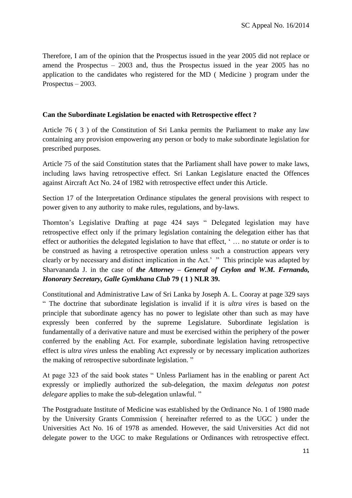Therefore, I am of the opinion that the Prospectus issued in the year 2005 did not replace or amend the Prospectus – 2003 and, thus the Prospectus issued in the year 2005 has no application to the candidates who registered for the MD ( Medicine ) program under the Prospectus – 2003.

## **Can the Subordinate Legislation be enacted with Retrospective effect ?**

Article 76 ( 3 ) of the Constitution of Sri Lanka permits the Parliament to make any law containing any provision empowering any person or body to make subordinate legislation for prescribed purposes.

Article 75 of the said Constitution states that the Parliament shall have power to make laws, including laws having retrospective effect. Sri Lankan Legislature enacted the Offences against Aircraft Act No. 24 of 1982 with retrospective effect under this Article.

Section 17 of the Interpretation Ordinance stipulates the general provisions with respect to power given to any authority to make rules, regulations, and by-laws.

Thornton"s Legislative Drafting at page 424 says " Delegated legislation may have retrospective effect only if the primary legislation containing the delegation either has that effect or authorities the delegated legislation to have that effect, '... no statute or order is to be construed as having a retrospective operation unless such a construction appears very clearly or by necessary and distinct implication in the Act." " This principle was adapted by Sharvananda J. in the case of *the Attorney – General of Ceylon and W.M. Fernando, Honorary Secretary, Galle Gymkhana Club* **79 ( 1 ) NLR 39.**

Constitutional and Administrative Law of Sri Lanka by Joseph A. L. Cooray at page 329 says " The doctrine that subordinate legislation is invalid if it is *ultra vires* is based on the principle that subordinate agency has no power to legislate other than such as may have expressly been conferred by the supreme Legislature. Subordinate legislation is fundamentally of a derivative nature and must be exercised within the periphery of the power conferred by the enabling Act. For example, subordinate legislation having retrospective effect is *ultra vires* unless the enabling Act expressly or by necessary implication authorizes the making of retrospective subordinate legislation. "

At page 323 of the said book states " Unless Parliament has in the enabling or parent Act expressly or impliedly authorized the sub-delegation, the maxim *delegatus non potest delegare* applies to make the sub-delegation unlawful. "

The Postgraduate Institute of Medicine was established by the Ordinance No. 1 of 1980 made by the University Grants Commission ( hereinafter referred to as the UGC ) under the Universities Act No. 16 of 1978 as amended. However, the said Universities Act did not delegate power to the UGC to make Regulations or Ordinances with retrospective effect.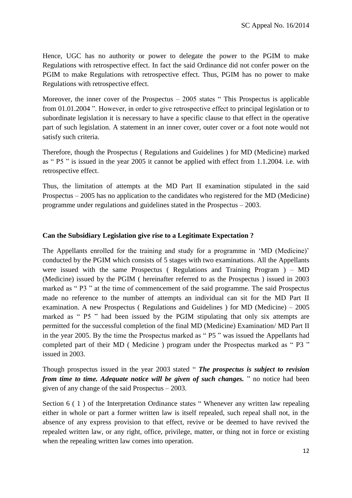Hence, UGC has no authority or power to delegate the power to the PGIM to make Regulations with retrospective effect. In fact the said Ordinance did not confer power on the PGIM to make Regulations with retrospective effect. Thus, PGIM has no power to make Regulations with retrospective effect.

Moreover, the inner cover of the Prospectus  $-2005$  states "This Prospectus is applicable from 01.01.2004 ". However, in order to give retrospective effect to principal legislation or to subordinate legislation it is necessary to have a specific clause to that effect in the operative part of such legislation. A statement in an inner cover, outer cover or a foot note would not satisfy such criteria.

Therefore, though the Prospectus ( Regulations and Guidelines ) for MD (Medicine) marked as " P5 " is issued in the year 2005 it cannot be applied with effect from 1.1.2004. i.e. with retrospective effect.

Thus, the limitation of attempts at the MD Part II examination stipulated in the said Prospectus – 2005 has no application to the candidates who registered for the MD (Medicine) programme under regulations and guidelines stated in the Prospectus – 2003.

### **Can the Subsidiary Legislation give rise to a Legitimate Expectation ?**

The Appellants enrolled for the training and study for a programme in 'MD (Medicine)' conducted by the PGIM which consists of 5 stages with two examinations. All the Appellants were issued with the same Prospectus ( Regulations and Training Program ) –  $MD$ (Medicine) issued by the PGIM ( hereinafter referred to as the Prospectus ) issued in 2003 marked as " P3 " at the time of commencement of the said programme. The said Prospectus made no reference to the number of attempts an individual can sit for the MD Part II examination. A new Prospectus ( Regulations and Guidelines ) for MD (Medicine) – 2005 marked as " P5 " had been issued by the PGIM stipulating that only six attempts are permitted for the successful completion of the final MD (Medicine) Examination/ MD Part II in the year 2005. By the time the Prospectus marked as " P5 " was issued the Appellants had completed part of their MD ( Medicine ) program under the Prospectus marked as " P3 " issued in 2003.

Though prospectus issued in the year 2003 stated " *The prospectus is subject to revision from time to time. Adequate notice will be given of such changes.* " no notice had been given of any change of the said Prospectus – 2003.

Section 6 (1) of the Interpretation Ordinance states "Whenever any written law repealing either in whole or part a former written law is itself repealed, such repeal shall not, in the absence of any express provision to that effect, revive or be deemed to have revived the repealed written law, or any right, office, privilege, matter, or thing not in force or existing when the repealing written law comes into operation.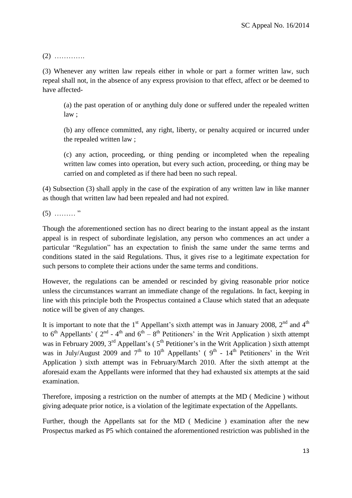(2) ………….

(3) Whenever any written law repeals either in whole or part a former written law, such repeal shall not, in the absence of any express provision to that effect, affect or be deemed to have affected-

(a) the past operation of or anything duly done or suffered under the repealed written law ;

(b) any offence committed, any right, liberty, or penalty acquired or incurred under the repealed written law ;

(c) any action, proceeding, or thing pending or incompleted when the repealing written law comes into operation, but every such action, proceeding, or thing may be carried on and completed as if there had been no such repeal.

(4) Subsection (3) shall apply in the case of the expiration of any written law in like manner as though that written law had been repealed and had not expired.

 $(5)$  ………"

Though the aforementioned section has no direct bearing to the instant appeal as the instant appeal is in respect of subordinate legislation, any person who commences an act under a particular "Regulation" has an expectation to finish the same under the same terms and conditions stated in the said Regulations. Thus, it gives rise to a legitimate expectation for such persons to complete their actions under the same terms and conditions.

However, the regulations can be amended or rescinded by giving reasonable prior notice unless the circumstances warrant an immediate change of the regulations. In fact, keeping in line with this principle both the Prospectus contained a Clause which stated that an adequate notice will be given of any changes.

It is important to note that the 1<sup>st</sup> Appellant's sixth attempt was in January 2008,  $2^{nd}$  and  $4^{th}$ to  $6<sup>th</sup>$  Appellants' ( $2<sup>nd</sup>$  -  $4<sup>th</sup>$  and  $6<sup>th</sup>$  -  $8<sup>th</sup>$  Petitioners' in the Writ Application) sixth attempt was in February 2009,  $3<sup>rd</sup>$  Appellant's ( $5<sup>th</sup>$  Petitioner's in the Writ Application) sixth attempt was in July/August 2009 and  $7<sup>th</sup>$  to  $10<sup>th</sup>$  Appellants' (9<sup>th</sup> - 14<sup>th</sup> Petitioners' in the Writ Application ) sixth attempt was in February/March 2010. After the sixth attempt at the aforesaid exam the Appellants were informed that they had exhausted six attempts at the said examination.

Therefore, imposing a restriction on the number of attempts at the MD ( Medicine ) without giving adequate prior notice, is a violation of the legitimate expectation of the Appellants.

Further, though the Appellants sat for the MD ( Medicine ) examination after the new Prospectus marked as P5 which contained the aforementioned restriction was published in the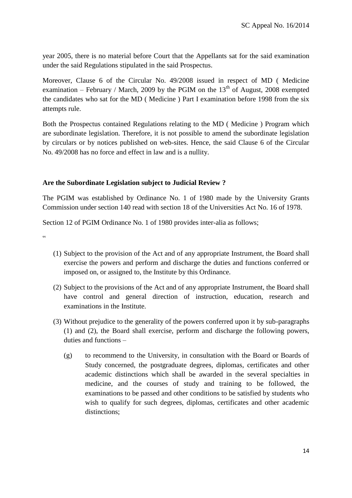year 2005, there is no material before Court that the Appellants sat for the said examination under the said Regulations stipulated in the said Prospectus.

Moreover, Clause 6 of the Circular No. 49/2008 issued in respect of MD ( Medicine examination – February / March, 2009 by the PGIM on the  $13<sup>th</sup>$  of August, 2008 exempted the candidates who sat for the MD ( Medicine ) Part I examination before 1998 from the six attempts rule.

Both the Prospectus contained Regulations relating to the MD ( Medicine ) Program which are subordinate legislation. Therefore, it is not possible to amend the subordinate legislation by circulars or by notices published on web-sites. Hence, the said Clause 6 of the Circular No. 49/2008 has no force and effect in law and is a nullity.

## **Are the Subordinate Legislation subject to Judicial Review ?**

The PGIM was established by Ordinance No. 1 of 1980 made by the University Grants Commission under section 140 read with section 18 of the Universities Act No. 16 of 1978.

Section 12 of PGIM Ordinance No. 1 of 1980 provides inter-alia as follows;

<u>، د</u>

- (1) Subject to the provision of the Act and of any appropriate Instrument, the Board shall exercise the powers and perform and discharge the duties and functions conferred or imposed on, or assigned to, the Institute by this Ordinance.
- (2) Subject to the provisions of the Act and of any appropriate Instrument, the Board shall have control and general direction of instruction, education, research and examinations in the Institute.
- (3) Without prejudice to the generality of the powers conferred upon it by sub-paragraphs (1) and (2), the Board shall exercise, perform and discharge the following powers, duties and functions –
	- (g) to recommend to the University, in consultation with the Board or Boards of Study concerned, the postgraduate degrees, diplomas, certificates and other academic distinctions which shall be awarded in the several specialties in medicine, and the courses of study and training to be followed, the examinations to be passed and other conditions to be satisfied by students who wish to qualify for such degrees, diplomas, certificates and other academic distinctions: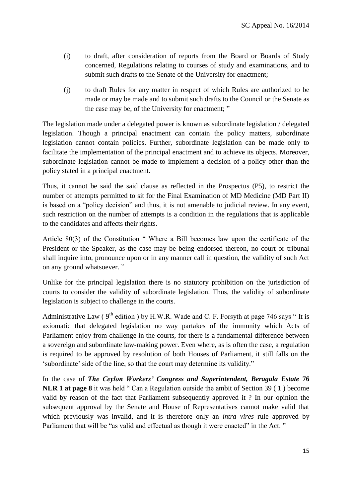- (i) to draft, after consideration of reports from the Board or Boards of Study concerned, Regulations relating to courses of study and examinations, and to submit such drafts to the Senate of the University for enactment;
- (j) to draft Rules for any matter in respect of which Rules are authorized to be made or may be made and to submit such drafts to the Council or the Senate as the case may be, of the University for enactment; "

The legislation made under a delegated power is known as subordinate legislation / delegated legislation. Though a principal enactment can contain the policy matters, subordinate legislation cannot contain policies. Further, subordinate legislation can be made only to facilitate the implementation of the principal enactment and to achieve its objects. Moreover, subordinate legislation cannot be made to implement a decision of a policy other than the policy stated in a principal enactment.

Thus, it cannot be said the said clause as reflected in the Prospectus (P5), to restrict the number of attempts permitted to sit for the Final Examination of MD Medicine (MD Part II) is based on a "policy decision" and thus, it is not amenable to judicial review. In any event, such restriction on the number of attempts is a condition in the regulations that is applicable to the candidates and affects their rights.

Article 80(3) of the Constitution " Where a Bill becomes law upon the certificate of the President or the Speaker, as the case may be being endorsed thereon, no court or tribunal shall inquire into, pronounce upon or in any manner call in question, the validity of such Act on any ground whatsoever. "

Unlike for the principal legislation there is no statutory prohibition on the jurisdiction of courts to consider the validity of subordinate legislation. Thus, the validity of subordinate legislation is subject to challenge in the courts.

Administrative Law ( $9<sup>th</sup>$  edition) by H.W.R. Wade and C. F. Forsyth at page 746 says "It is axiomatic that delegated legislation no way partakes of the immunity which Acts of Parliament enjoy from challenge in the courts, for there is a fundamental difference between a sovereign and subordinate law-making power. Even where, as is often the case, a regulation is required to be approved by resolution of both Houses of Parliament, it still falls on the "subordinate" side of the line, so that the court may determine its validity."

In the case of *The Ceylon Workers' Congress and Superintendent, Beragala Estate* **76 NLR 1 at page 8** it was held " Can a Regulation outside the ambit of Section 39 ( 1 ) become valid by reason of the fact that Parliament subsequently approved it ? In our opinion the subsequent approval by the Senate and House of Representatives cannot make valid that which previously was invalid, and it is therefore only an *intra vires* rule approved by Parliament that will be "as valid and effectual as though it were enacted" in the Act."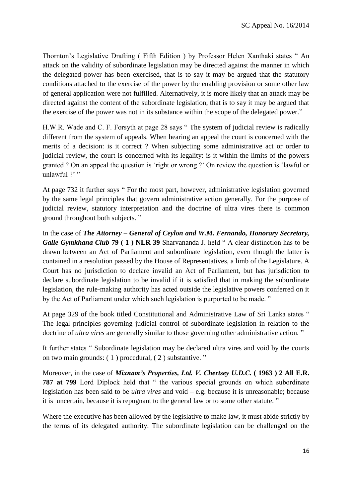Thornton"s Legislative Drafting ( Fifth Edition ) by Professor Helen Xanthaki states " An attack on the validity of subordinate legislation may be directed against the manner in which the delegated power has been exercised, that is to say it may be argued that the statutory conditions attached to the exercise of the power by the enabling provision or some other law of general application were not fulfilled. Alternatively, it is more likely that an attack may be directed against the content of the subordinate legislation, that is to say it may be argued that the exercise of the power was not in its substance within the scope of the delegated power."

H.W.R. Wade and C. F. Forsyth at page 28 says " The system of judicial review is radically different from the system of appeals. When hearing an appeal the court is concerned with the merits of a decision: is it correct ? When subjecting some administrative act or order to judicial review, the court is concerned with its legality: is it within the limits of the powers granted ? On an appeal the question is "right or wrong ?" On review the question is "lawful or unlawful ?"

At page 732 it further says " For the most part, however, administrative legislation governed by the same legal principles that govern administrative action generally. For the purpose of judicial review, statutory interpretation and the doctrine of ultra vires there is common ground throughout both subjects. "

In the case of *The Attorney – General of Ceylon and W.M. Fernando, Honorary Secretary, Galle Gymkhana Club* **79 ( 1 ) NLR 39** Sharvananda J. held " A clear distinction has to be drawn between an Act of Parliament and subordinate legislation, even though the latter is contained in a resolution passed by the House of Representatives, a limb of the Legislature. A Court has no jurisdiction to declare invalid an Act of Parliament, but has jurisdiction to declare subordinate legislation to be invalid if it is satisfied that in making the subordinate legislation, the rule-making authority has acted outside the legislative powers conferred on it by the Act of Parliament under which such legislation is purported to be made. "

At page 329 of the book titled Constitutional and Administrative Law of Sri Lanka states " The legal principles governing judicial control of subordinate legislation in relation to the doctrine of *ultra vires* are generally similar to those governing other administrative action."

It further states " Subordinate legislation may be declared ultra vires and void by the courts on two main grounds: ( 1 ) procedural, ( 2 ) substantive. "

Moreover, in the case of *Mixnam's Properties, Ltd. V. Chertsey U.D.C.* **( 1963 ) 2 All E.R. 787 at 799** Lord Diplock held that " the various special grounds on which subordinate legislation has been said to be *ultra vires* and void – e.g. because it is unreasonable; because it is uncertain, because it is repugnant to the general law or to some other statute. "

Where the executive has been allowed by the legislative to make law, it must abide strictly by the terms of its delegated authority. The subordinate legislation can be challenged on the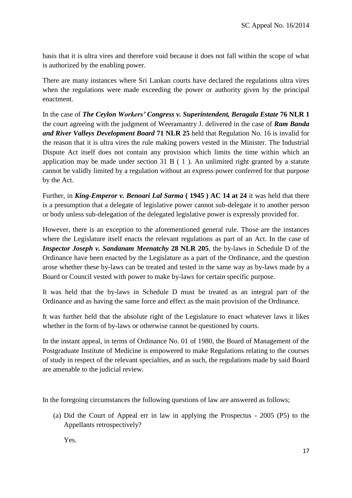basis that it is ultra vires and therefore void because it does not fall within the scope of what is authorized by the enabling power.

There are many instances where Sri Lankan courts have declared the regulations ultra vires when the regulations were made exceeding the power or authority given by the principal enactment.

In the case of *The Ceylon Workers' Congress v. Superintendent, Beragala Estate* **76 NLR 1** the court agreeing with the judgment of Weeramantry J. delivered in the case of *Ram Banda and River Valleys Development Board* **71 NLR 25** held that Regulation No. 16 is invalid for the reason that it is ultra vires the rule making powers vested in the Minister. The Industrial Dispute Act itself does not contain any provision which limits the time within which an application may be made under section 31 B ( 1 ). An unlimited right granted by a statute cannot be validly limited by a regulation without an express power conferred for that purpose by the Act.

Further, in *King-Emperor v. Benoari Lal Sarma* **( 1945 ) AC 14 at 24** it was held that there is a presumption that a delegate of legislative power cannot sub-delegate it to another person or body unless sub-delegation of the delegated legislative power is expressly provided for.

However, there is an exception to the aforementioned general rule. Those are the instances where the Legislature itself enacts the relevant regulations as part of an Act. In the case of *Inspector Joseph v. Sandanam Meenatchy* **28 NLR 205***,* the by-laws in Schedule D of the Ordinance have been enacted by the Legislature as a part of the Ordinance, and the question arose whether these by-laws can be treated and tested in the same way as by-laws made by a Board or Council vested with power to make by-laws for certain specific purpose.

It was held that the by-laws in Schedule D must be treated as an integral part of the Ordinance and as having the same force and effect as the main provision of the Ordinance.

It was further held that the absolute right of the Legislature to enact whatever laws it likes whether in the form of by-laws or otherwise cannot be questioned by courts.

In the instant appeal, in terms of Ordinance No. 01 of 1980, the Board of Management of the Postgraduate Institute of Medicine is empowered to make Regulations relating to the courses of study in respect of the relevant specialties, and as such, the regulations made by said Board are amenable to the judicial review.

In the foregoing circumstances the following questions of law are answered as follows;

(a) Did the Court of Appeal err in law in applying the Prospectus - 2005 (P5) to the Appellants retrospectively?

Yes.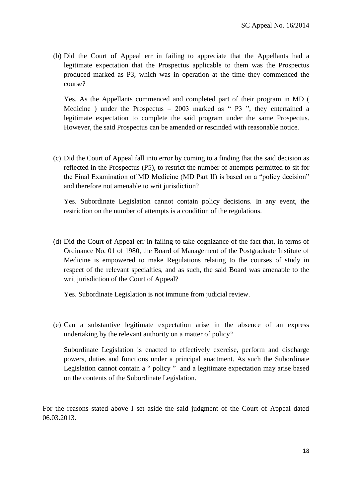(b) Did the Court of Appeal err in failing to appreciate that the Appellants had a legitimate expectation that the Prospectus applicable to them was the Prospectus produced marked as P3, which was in operation at the time they commenced the course?

Yes. As the Appellants commenced and completed part of their program in MD ( Medicine ) under the Prospectus  $-2003$  marked as "P3", they entertained a legitimate expectation to complete the said program under the same Prospectus. However, the said Prospectus can be amended or rescinded with reasonable notice.

(c) Did the Court of Appeal fall into error by coming to a finding that the said decision as reflected in the Prospectus (P5), to restrict the number of attempts permitted to sit for the Final Examination of MD Medicine (MD Part II) is based on a "policy decision" and therefore not amenable to writ jurisdiction?

Yes. Subordinate Legislation cannot contain policy decisions. In any event, the restriction on the number of attempts is a condition of the regulations.

(d) Did the Court of Appeal err in failing to take cognizance of the fact that, in terms of Ordinance No. 01 of 1980, the Board of Management of the Postgraduate Institute of Medicine is empowered to make Regulations relating to the courses of study in respect of the relevant specialties, and as such, the said Board was amenable to the writ jurisdiction of the Court of Appeal?

Yes. Subordinate Legislation is not immune from judicial review.

(e) Can a substantive legitimate expectation arise in the absence of an express undertaking by the relevant authority on a matter of policy?

Subordinate Legislation is enacted to effectively exercise, perform and discharge powers, duties and functions under a principal enactment. As such the Subordinate Legislation cannot contain a " policy " and a legitimate expectation may arise based on the contents of the Subordinate Legislation.

For the reasons stated above I set aside the said judgment of the Court of Appeal dated 06.03.2013.